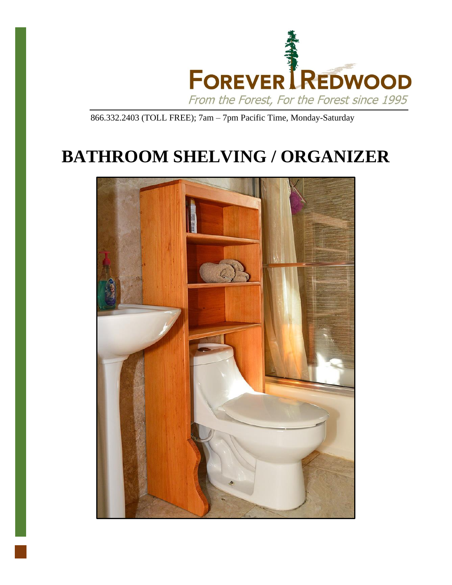

866.332.2403 (TOLL FREE); 7am – 7pm Pacific Time, Monday-Saturday

# **BATHROOM SHELVING / ORGANIZER**

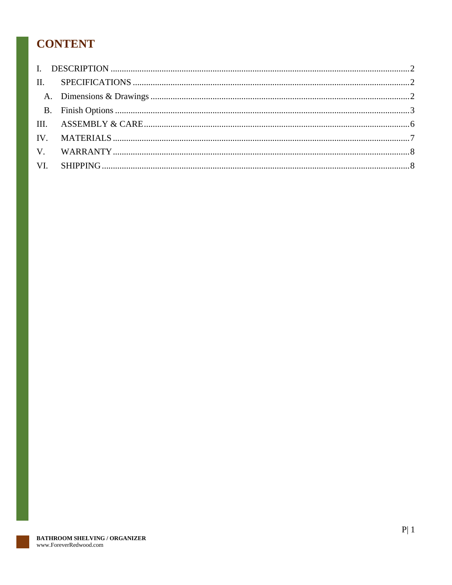## **CONTENT**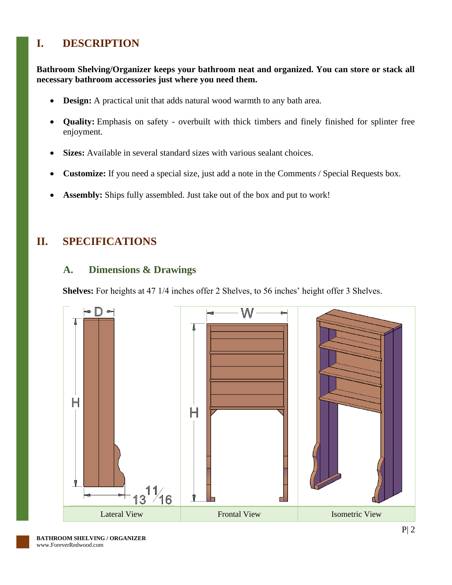### <span id="page-2-0"></span>**I. DESCRIPTION**

**Bathroom Shelving/Organizer keeps your bathroom neat and organized. You can store or stack all necessary bathroom accessories just where you need them.**

- **Design:** A practical unit that adds natural wood warmth to any bath area.
- **Quality:** Emphasis on safety overbuilt with thick timbers and finely finished for splinter free enjoyment.
- **Sizes:** Available in several standard sizes with various sealant choices.
- **Customize:** If you need a special size, just add a note in the Comments / Special Requests box.
- **Assembly:** Ships fully assembled. Just take out of the box and put to work!

### <span id="page-2-2"></span><span id="page-2-1"></span>**II. SPECIFICATIONS**

### **A. Dimensions & Drawings**

**Shelves:** For heights at 47 1/4 inches offer 2 Shelves, to 56 inches' height offer 3 Shelves.

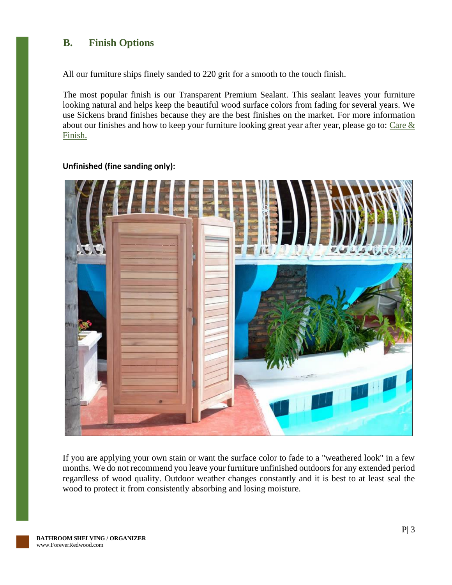### <span id="page-3-0"></span>**B. Finish Options**

All our furniture ships finely sanded to 220 grit for a smooth to the touch finish.

The most popular finish is our Transparent Premium Sealant. This sealant leaves your furniture looking natural and helps keep the beautiful wood surface colors from fading for several years. We use Sickens brand finishes because they are the best finishes on the market. For more information about our finishes and how to keep your furniture looking great year after year, please go to: Care  $\&$ [Finish.](https://www.foreverredwood.com/redwood-furniture/care-finish/)



#### **Unfinished (fine sanding only):**

If you are applying your own stain or want the surface color to fade to a "weathered look" in a few months. We do not recommend you leave your furniture unfinished outdoors for any extended period regardless of wood quality. Outdoor weather changes constantly and it is best to at least seal the wood to protect it from consistently absorbing and losing moisture.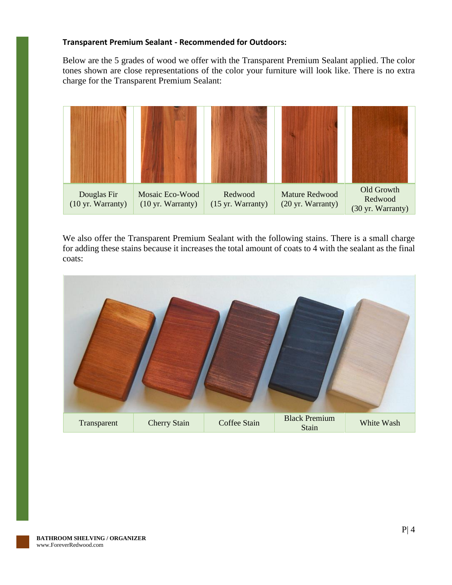#### **Transparent Premium Sealant - Recommended for Outdoors:**

Below are the 5 grades of wood we offer with the Transparent Premium Sealant applied. The color tones shown are close representations of the color your furniture will look like. There is no extra charge for the Transparent Premium Sealant:



We also offer the Transparent Premium Sealant with the following stains. There is a small charge for adding these stains because it increases the total amount of coats to 4 with the sealant as the final coats:

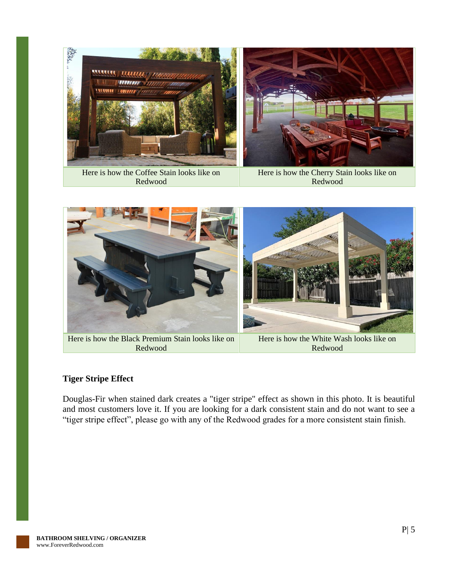

Here is how the Coffee Stain looks like on Redwood

Here is how the Cherry Stain looks like on Redwood



Here is how the Black Premium Stain looks like on Redwood

Here is how the White Wash looks like on Redwood

#### **Tiger Stripe Effect**

Douglas-Fir when stained dark creates a "tiger stripe" effect as shown in this photo. It is beautiful and most customers love it. If you are looking for a dark consistent stain and do not want to see a "tiger stripe effect", please go with any of the Redwood grades for a more consistent stain finish.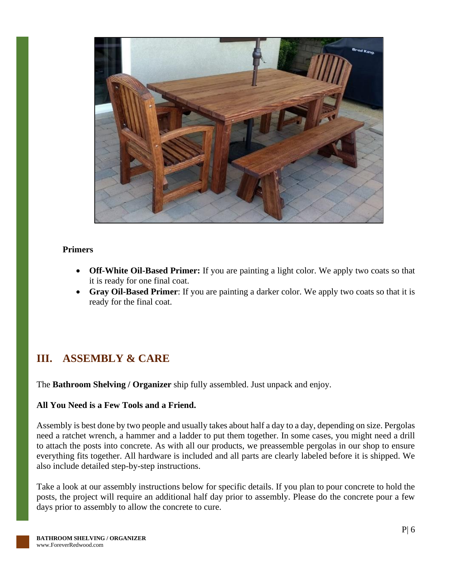

#### **Primers**

- **Off-White Oil-Based Primer:** If you are painting a light color. We apply two coats so that it is ready for one final coat.
- **Gray Oil-Based Primer**: If you are painting a darker color. We apply two coats so that it is ready for the final coat.

### <span id="page-6-0"></span>**III. ASSEMBLY & CARE**

The **Bathroom Shelving / Organizer** ship fully assembled. Just unpack and enjoy.

#### **All You Need is a Few Tools and a Friend.**

Assembly is best done by two people and usually takes about half a day to a day, depending on size. Pergolas need a ratchet wrench, a hammer and a ladder to put them together. In some cases, you might need a drill to attach the posts into concrete. As with all our products, we preassemble pergolas in our shop to ensure everything fits together. All hardware is included and all parts are clearly labeled before it is shipped. We also include detailed step-by-step instructions.

Take a look at our assembly instructions below for specific details. If you plan to pour concrete to hold the posts, the project will require an additional half day prior to assembly. Please do the concrete pour a few days prior to assembly to allow the concrete to cure.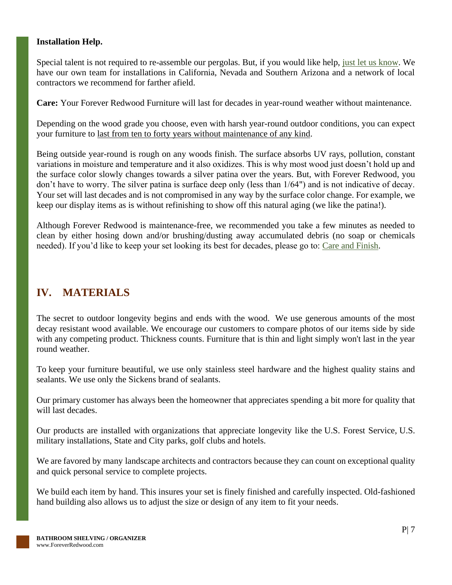#### **Installation Help.**

Special talent is not required to re-assemble our pergolas. But, if you would like help, [just let us know.](https://www.foreverredwood.com/information/contact) We have our own team for installations in California, Nevada and Southern Arizona and a network of local contractors we recommend for farther afield.

**Care:** Your Forever Redwood Furniture will last for decades in year-round weather without maintenance.

Depending on the wood grade you choose, even with harsh year-round outdoor conditions, you can expect your furniture to last from ten to forty years without maintenance of any kind.

Being outside year-round is rough on any woods finish. The surface absorbs UV rays, pollution, constant variations in moisture and temperature and it also oxidizes. This is why most wood just doesn't hold up and the surface color slowly changes towards a silver patina over the years. But, with Forever Redwood, you don't have to worry. The silver patina is surface deep only (less than 1/64") and is not indicative of decay. Your set will last decades and is not compromised in any way by the surface color change. For example, we keep our display items as is without refinishing to show off this natural aging (we like the patina!).

Although Forever Redwood is maintenance-free, we recommended you take a few minutes as needed to clean by either hosing down and/or brushing/dusting away accumulated debris (no soap or chemicals needed). If you'd like to keep your set looking its best for decades, please go to: [Care and Finish.](https://www.foreverredwood.com/redwood-furniture/care-finish)

### <span id="page-7-0"></span>**IV. MATERIALS**

The secret to outdoor longevity begins and ends with the wood. We use generous amounts of the most decay resistant wood available. We encourage our customers to compare photos of our items side by side with any competing product. Thickness counts. Furniture that is thin and light simply won't last in the year round weather.

To keep your furniture beautiful, we use only stainless steel hardware and the highest quality stains and sealants. We use only the Sickens brand of sealants.

Our primary customer has always been the homeowner that appreciates spending a bit more for quality that will last decades.

Our products are installed with organizations that appreciate longevity like the U.S. Forest Service, U.S. military installations, State and City parks, golf clubs and hotels.

We are favored by many landscape architects and contractors because they can count on exceptional quality and quick personal service to complete projects.

We build each item by hand. This insures your set is finely finished and carefully inspected. Old-fashioned hand building also allows us to adjust the size or design of any item to fit your needs.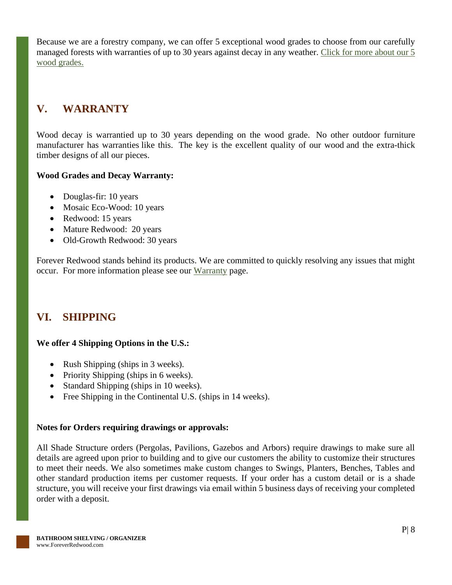Because we are a forestry company, we can offer 5 exceptional wood grades to choose from our carefully managed forests with warranties of up to 30 years against decay in any weather. [Click for more about our 5](https://www.foreverredwood.com/redwood-furniture/wood-grade/)  [wood grades.](https://www.foreverredwood.com/redwood-furniture/wood-grade/)

### <span id="page-8-0"></span>**V. WARRANTY**

Wood decay is warrantied up to 30 years depending on the wood grade. No other outdoor furniture manufacturer has warranties like this. The key is the excellent quality of our wood and the extra-thick timber designs of all our pieces.

#### **Wood Grades and Decay Warranty:**

- Douglas-fir: 10 years
- Mosaic Eco-Wood: 10 years
- Redwood: 15 years
- Mature Redwood: 20 years
- Old-Growth Redwood: 30 years

Forever Redwood stands behind its products. We are committed to quickly resolving any issues that might occur. For more information please see our [Warranty](https://www.foreverredwood.com/redwood-furniture/warranty) page.

### <span id="page-8-1"></span>**VI. SHIPPING**

### **We offer 4 Shipping Options in the U.S.:**

- Rush Shipping (ships in 3 weeks).
- Priority Shipping (ships in 6 weeks).
- Standard Shipping (ships in 10 weeks).
- Free Shipping in the Continental U.S. (ships in 14 weeks).

### **Notes for Orders requiring drawings or approvals:**

All Shade Structure orders (Pergolas, Pavilions, Gazebos and Arbors) require drawings to make sure all details are agreed upon prior to building and to give our customers the ability to customize their structures to meet their needs. We also sometimes make custom changes to Swings, Planters, Benches, Tables and other standard production items per customer requests. If your order has a custom detail or is a shade structure, you will receive your first drawings via email within 5 business days of receiving your completed order with a deposit.